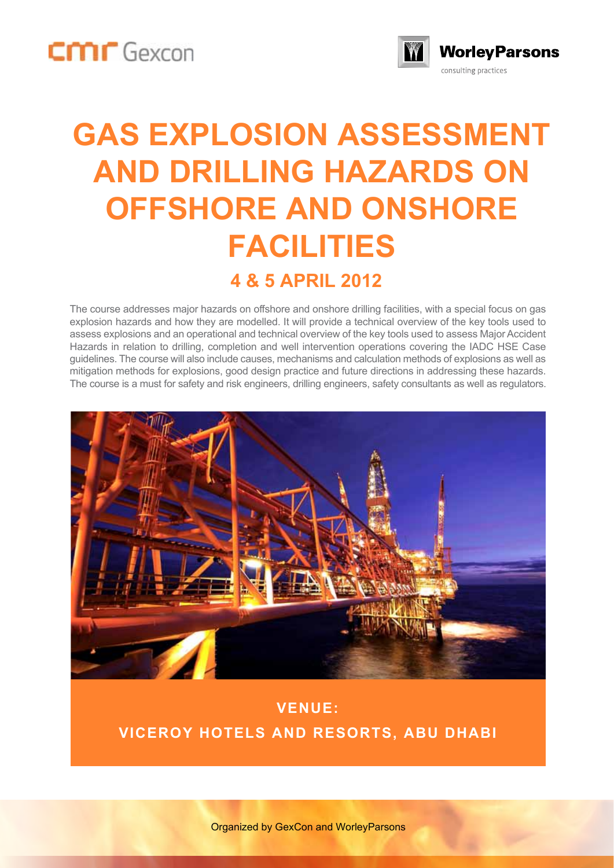



## **GAS EXPLOSION ASSESSMENT AND DRILLING HAZARDS ON OFFSHORE AND ONSHORE FACILITIES 4 & 5 APRIL 2012**

The course addresses major hazards on offshore and onshore drilling facilities, with a special focus on gas explosion hazards and how they are modelled. It will provide a technical overview of the key tools used to assess explosions and an operational and technical overview of the key tools used to assess Major Accident Hazards in relation to drilling, completion and well intervention operations covering the IADC HSE Case guidelines. The course will also include causes, mechanisms and calculation methods of explosions as well as mitigation methods for explosions, good design practice and future directions in addressing these hazards. The course is a must for safety and risk engineers, drilling engineers, safety consultants as well as regulators.



#### **VENUE: VICEROY HOTELS AND RESORTS, ABU DHABI**

Organized by GexCon and WorleyParsons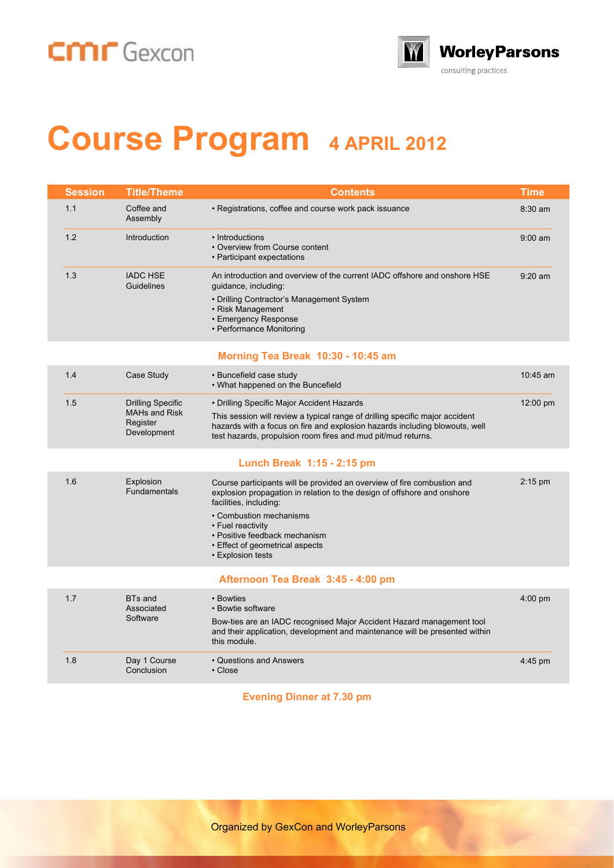### CMIT Gexcon



# **Course Program 4 APRIL 2012**

| Session | Title/Theme                                                                 | Contents                                                                                                                                                                                                                                                                                                              | Time       |
|---------|-----------------------------------------------------------------------------|-----------------------------------------------------------------------------------------------------------------------------------------------------------------------------------------------------------------------------------------------------------------------------------------------------------------------|------------|
| 1.1     | Coffee and<br>Assembly                                                      | • Registrations, coffee and course work pack issuance                                                                                                                                                                                                                                                                 | 8:30 am    |
| 1.2     | Introduction                                                                | • Introductions<br>• Overview from Course content<br>• Participant expectations                                                                                                                                                                                                                                       | $9:00$ am  |
| 1.3     | <b>IADC HSE</b><br>Guidelines                                               | An introduction and overview of the current IADC offshore and onshore HSE<br>guidance, including:<br>• Drilling Contractor's Management System<br>• Risk Management<br>• Emergency Response<br>• Performance Monitoring                                                                                               | $9:20$ am  |
|         |                                                                             | Morning Tea Break 10:30 - 10:45 am                                                                                                                                                                                                                                                                                    |            |
| 1.4     | Case Study                                                                  | · Buncefield case study<br>• What happened on the Buncefield                                                                                                                                                                                                                                                          | $10:45$ am |
| 1.5     | <b>Drilling Specific</b><br><b>MAHs and Risk</b><br>Register<br>Development | • Drilling Specific Major Accident Hazards<br>This session will review a typical range of drilling specific major accident<br>hazards with a focus on fire and explosion hazards including blowouts, well<br>test hazards, propulsion room fires and mud pit/mud returns.                                             | 12:00 pm   |
|         |                                                                             | Lunch Break 1:15 - 2:15 pm                                                                                                                                                                                                                                                                                            |            |
| 1.6     | Explosion<br><b>Fundamentals</b>                                            | Course participants will be provided an overview of fire combustion and<br>explosion propagation in relation to the design of offshore and onshore<br>facilities, including:<br>• Combustion mechanisms<br>• Fuel reactivity<br>• Positive feedback mechanism<br>• Effect of geometrical aspects<br>• Explosion tests | $2:15$ pm  |
|         |                                                                             | Afternoon Tea Break 3:45 - 4:00 pm                                                                                                                                                                                                                                                                                    |            |
| 1.7     | <b>BTs</b> and<br>Associated<br>Software                                    | • Bowties<br>• Bowtie software<br>Bow-ties are an IADC recognised Major Accident Hazard management tool<br>and their application, development and maintenance will be presented within<br>this module.                                                                                                                | $4:00$ pm  |
| 1.8     | Day 1 Course<br>Conclusion                                                  | • Questions and Answers<br>$\cdot$ Close                                                                                                                                                                                                                                                                              | $4:45$ pm  |
|         |                                                                             |                                                                                                                                                                                                                                                                                                                       |            |

**Evening Dinner at 7.30 pm**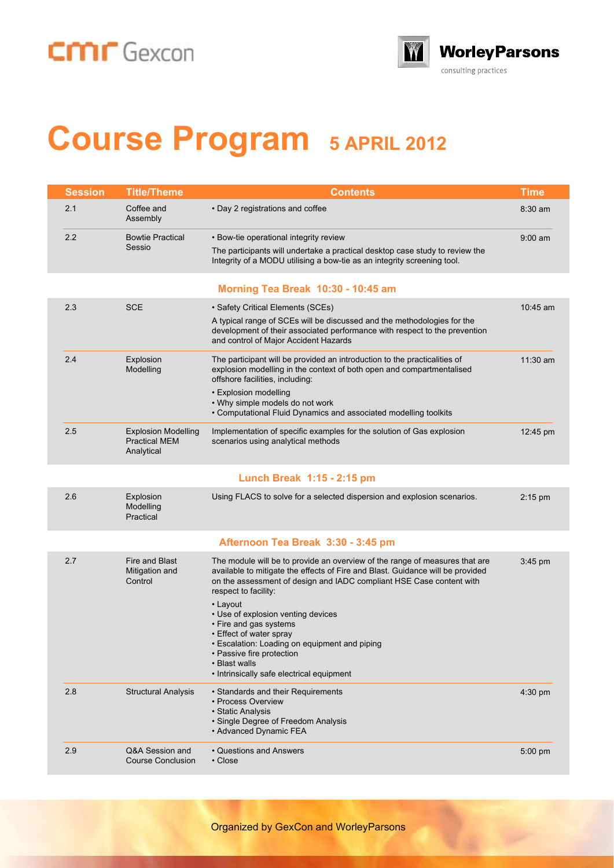### CMIT Gexcon



# **Course Program 5 APRIL 2012**

| <b>Session</b> | <b>Title/Theme</b>                                               | <b>Contents</b>                                                                                                                                                                                                                                                                                                                                                                                                                                                                                                  | <b>Time</b>        |
|----------------|------------------------------------------------------------------|------------------------------------------------------------------------------------------------------------------------------------------------------------------------------------------------------------------------------------------------------------------------------------------------------------------------------------------------------------------------------------------------------------------------------------------------------------------------------------------------------------------|--------------------|
| 2.1            | Coffee and<br>Assembly                                           | • Day 2 registrations and coffee                                                                                                                                                                                                                                                                                                                                                                                                                                                                                 | $8:30$ am          |
| 2.2            | <b>Bowtie Practical</b><br>Sessio                                | • Bow-tie operational integrity review<br>The participants will undertake a practical desktop case study to review the<br>Integrity of a MODU utilising a bow-tie as an integrity screening tool.                                                                                                                                                                                                                                                                                                                | $9:00$ am          |
|                |                                                                  | Morning Tea Break 10:30 - 10:45 am                                                                                                                                                                                                                                                                                                                                                                                                                                                                               |                    |
| 2.3            | <b>SCE</b>                                                       | • Safety Critical Elements (SCEs)<br>A typical range of SCEs will be discussed and the methodologies for the<br>development of their associated performance with respect to the prevention<br>and control of Major Accident Hazards                                                                                                                                                                                                                                                                              | $10:45$ am         |
| 2.4            | Explosion<br>Modelling                                           | The participant will be provided an introduction to the practicalities of<br>explosion modelling in the context of both open and compartmentalised<br>offshore facilities, including:<br>• Explosion modelling<br>• Why simple models do not work<br>• Computational Fluid Dynamics and associated modelling toolkits                                                                                                                                                                                            | 11:30 am           |
| 2.5            | <b>Explosion Modelling</b><br><b>Practical MEM</b><br>Analytical | Implementation of specific examples for the solution of Gas explosion<br>scenarios using analytical methods                                                                                                                                                                                                                                                                                                                                                                                                      | $12:45 \text{ pm}$ |
|                |                                                                  | Lunch Break 1:15 - 2:15 pm                                                                                                                                                                                                                                                                                                                                                                                                                                                                                       |                    |
| 2.6            | Explosion<br>Modelling<br>Practical                              | Using FLACS to solve for a selected dispersion and explosion scenarios.                                                                                                                                                                                                                                                                                                                                                                                                                                          | $2:15 \text{ pm}$  |
|                |                                                                  | Afternoon Tea Break 3:30 - 3:45 pm                                                                                                                                                                                                                                                                                                                                                                                                                                                                               |                    |
| 2.7            | Fire and Blast<br>Mitigation and<br>Control                      | The module will be to provide an overview of the range of measures that are<br>available to mitigate the effects of Fire and Blast. Guidance will be provided<br>on the assessment of design and IADC compliant HSE Case content with<br>respect to facility:<br>• Layout<br>• Use of explosion venting devices<br>• Fire and gas systems<br>• Effect of water spray<br>· Escalation: Loading on equipment and piping<br>• Passive fire protection<br>• Blast walls<br>• Intrinsically safe electrical equipment | $3:45$ pm          |
| 2.8            | <b>Structural Analysis</b>                                       | · Standards and their Requirements<br>• Process Overview<br>• Static Analysis<br>• Single Degree of Freedom Analysis<br>• Advanced Dynamic FEA                                                                                                                                                                                                                                                                                                                                                                   | 4:30 pm            |
| 2.9            | Q&A Session and<br><b>Course Conclusion</b>                      | • Questions and Answers<br>$\cdot$ Close                                                                                                                                                                                                                                                                                                                                                                                                                                                                         | $5:00$ pm          |